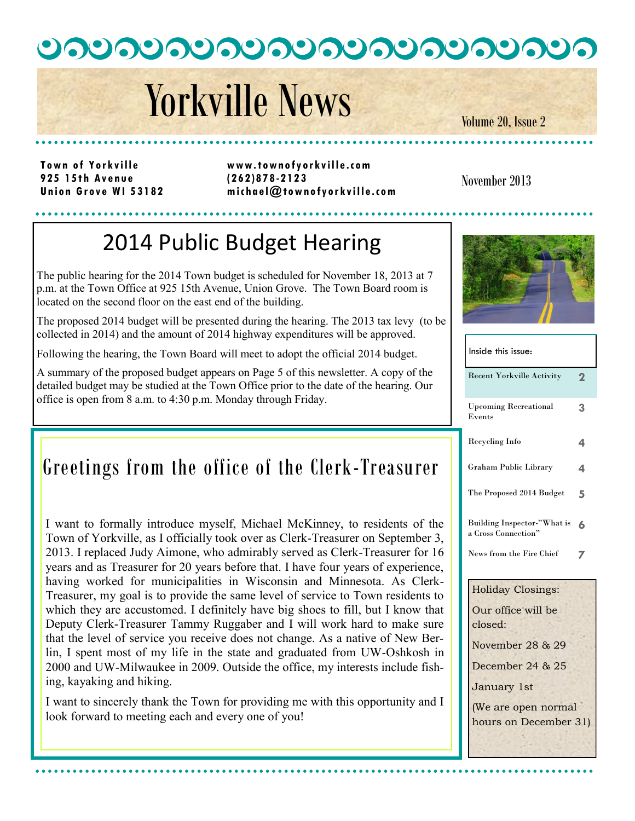りっしっしっしっしっしっしっしっしっしっと

# Yorkville News

Volume 20, Issue 2

**9 25 1 5th Ave nue (26 2)87 8- 212 3** 

**Town of Yorkville WWW.townofyorkville.com** Union Grove WI 53182 michael@townofyorkville.com

November 2013

### 2014 Public Budget Hearing

The public hearing for the 2014 Town budget is scheduled for November 18, 2013 at 7 p.m. at the Town Office at 925 15th Avenue, Union Grove. The Town Board room is located on the second floor on the east end of the building.

The proposed 2014 budget will be presented during the hearing. The 2013 tax levy (to be collected in 2014) and the amount of 2014 highway expenditures will be approved.

Following the hearing, the Town Board will meet to adopt the official 2014 budget.

A summary of the proposed budget appears on Page 5 of this newsletter. A copy of the detailed budget may be studied at the Town Office prior to the date of the hearing. Our office is open from 8 a.m. to 4:30 p.m. Monday through Friday.

### Greetings from the office of the Clerk -Treasurer

I want to formally introduce myself, Michael McKinney, to residents of the Town of Yorkville, as I officially took over as Clerk-Treasurer on September 3, 2013. I replaced Judy Aimone, who admirably served as Clerk-Treasurer for 16 years and as Treasurer for 20 years before that. I have four years of experience, having worked for municipalities in Wisconsin and Minnesota. As Clerk-Treasurer, my goal is to provide the same level of service to Town residents to which they are accustomed. I definitely have big shoes to fill, but I know that Deputy Clerk-Treasurer Tammy Ruggaber and I will work hard to make sure that the level of service you receive does not change. As a native of New Berlin, I spent most of my life in the state and graduated from UW-Oshkosh in 2000 and UW-Milwaukee in 2009. Outside the office, my interests include fishing, kayaking and hiking.

I want to sincerely thank the Town for providing me with this opportunity and I look forward to meeting each and every one of you!



| Inside this issue:                                 |   |
|----------------------------------------------------|---|
| <b>Recent Yorkville Activity</b>                   | 2 |
| <b>Upcoming Recreational</b><br>Events             | 3 |
| Recycling Info                                     | 4 |
| Graham Public Library                              | 4 |
| The Proposed 2014 Budget                           | 5 |
| Building Inspector-"What is<br>a Cross Connection" | 6 |
| News from the Fire Chief                           |   |
| <b>Holiday Closings:</b>                           |   |
| Our office will be                                 |   |

closed:

November 28 & 29 December 24 & 25

(We are open normal hours on December 31)

January 1st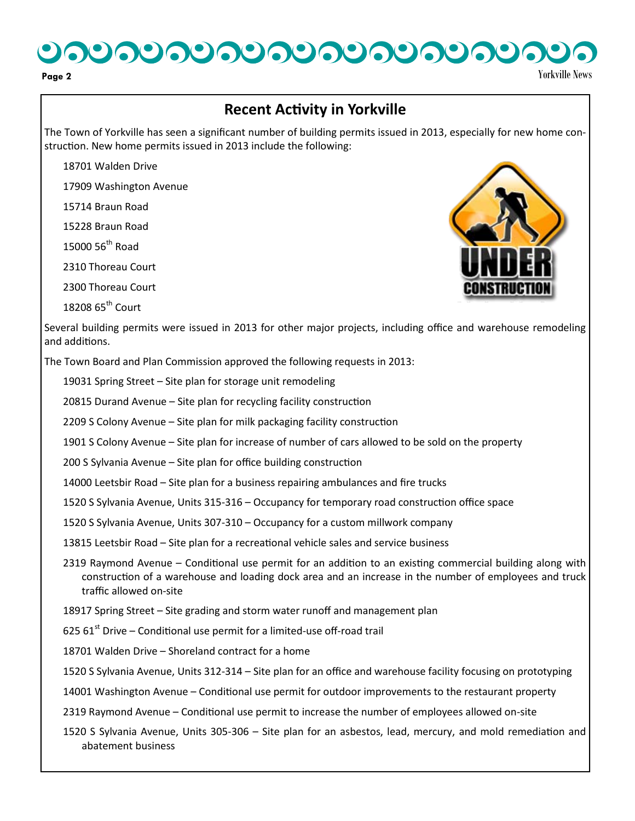

#### **Page 2** Yorkville News

#### **Recent Activity in Yorkville**

The Town of Yorkville has seen a significant number of building permits issued in 2013, especially for new home construction. New home permits issued in 2013 include the following:

18701 Walden Drive

17909 Washington Avenue

15714 Braun Road

15228 Braun Road

 $15000$   $56<sup>th</sup>$  Road

2310 Thoreau Court

2300 Thoreau Court

 $18208$   $65$ <sup>th</sup> Court

Several building permits were issued in 2013 for other major projects, including office and warehouse remodeling and additions.

The Town Board and Plan Commission approved the following requests in 2013:

19031 Spring Street – Site plan for storage unit remodeling

20815 Durand Avenue – Site plan for recycling facility construction

2209 S Colony Avenue – Site plan for milk packaging facility construction

1901 S Colony Avenue – Site plan for increase of number of cars allowed to be sold on the property

200 S Sylvania Avenue – Site plan for office building construction

14000 Leetsbir Road – Site plan for a business repairing ambulances and fire trucks

1520 S Sylvania Avenue, Units 315-316 – Occupancy for temporary road construction office space

1520 S Sylvania Avenue, Units 307-310 – Occupancy for a custom millwork company

13815 Leetsbir Road – Site plan for a recreational vehicle sales and service business

- 2319 Raymond Avenue Conditional use permit for an addition to an existing commercial building along with construction of a warehouse and loading dock area and an increase in the number of employees and truck traffic allowed on-site
- 18917 Spring Street Site grading and storm water runoff and management plan

625  $61<sup>st</sup>$  Drive – Conditional use permit for a limited-use off-road trail

18701 Walden Drive – Shoreland contract for a home

1520 S Sylvania Avenue, Units 312-314 – Site plan for an office and warehouse facility focusing on prototyping

14001 Washington Avenue – Conditional use permit for outdoor improvements to the restaurant property

2319 Raymond Avenue – Conditional use permit to increase the number of employees allowed on-site

1520 S Sylvania Avenue, Units 305-306 – Site plan for an asbestos, lead, mercury, and mold remediation and abatement business

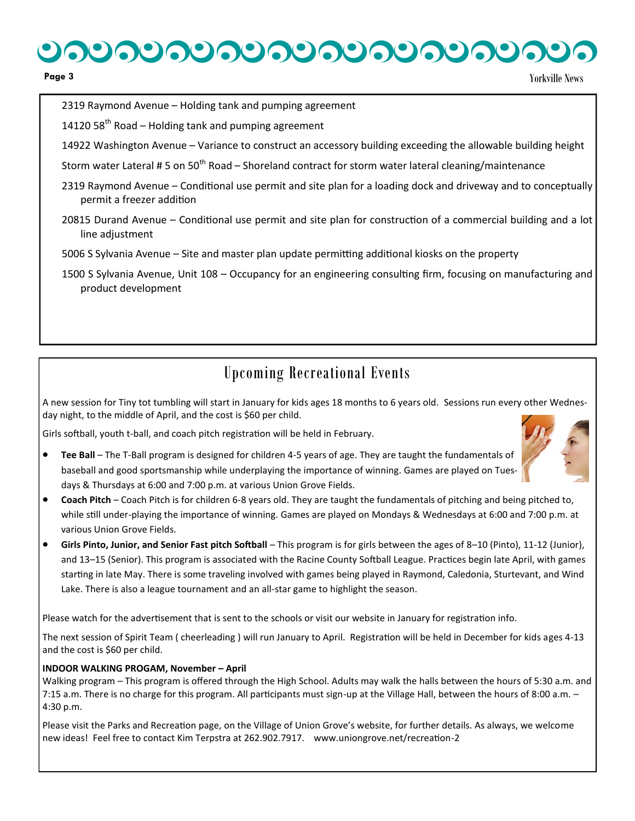## ) ଓ ೧೮ ೧೮ ೧೮ ೧೮ ೧೮ ೧೮ ೧೮ ೧೮

**Page 3** Yorkville News

2319 Raymond Avenue – Holding tank and pumping agreement

14120  $58<sup>th</sup>$  Road – Holding tank and pumping agreement

14922 Washington Avenue – Variance to construct an accessory building exceeding the allowable building height

Storm water Lateral # 5 on  $50<sup>th</sup>$  Road – Shoreland contract for storm water lateral cleaning/maintenance

- 2319 Raymond Avenue Conditional use permit and site plan for a loading dock and driveway and to conceptually permit a freezer addition
- 20815 Durand Avenue Conditional use permit and site plan for construction of a commercial building and a lot line adjustment

5006 S Sylvania Avenue – Site and master plan update permitting additional kiosks on the property

1500 S Sylvania Avenue, Unit 108 – Occupancy for an engineering consulting firm, focusing on manufacturing and product development

### Upcoming Recreational Events

A new session for Tiny tot tumbling will start in January for kids ages 18 months to 6 years old. Sessions run every other Wednesday night, to the middle of April, and the cost is \$60 per child.

Girls softball, youth t-ball, and coach pitch registration will be held in February.

 **Tee Ball** – The T-Ball program is designed for children 4-5 years of age. They are taught the fundamentals of baseball and good sportsmanship while underplaying the importance of winning. Games are played on Tuesdays & Thursdays at 6:00 and 7:00 p.m. at various Union Grove Fields.



- **Coach Pitch** Coach Pitch is for children 6-8 years old. They are taught the fundamentals of pitching and being pitched to, while still under-playing the importance of winning. Games are played on Mondays & Wednesdays at 6:00 and 7:00 p.m. at various Union Grove Fields.
- **Girls Pinto, Junior, and Senior Fast pitch Softball** This program is for girls between the ages of 8–10 (Pinto), 11-12 (Junior), and 13–15 (Senior). This program is associated with the Racine County Softball League. Practices begin late April, with games starting in late May. There is some traveling involved with games being played in Raymond, Caledonia, Sturtevant, and Wind Lake. There is also a league tournament and an all-star game to highlight the season.

Please watch for the advertisement that is sent to the schools or visit our website in January for registration info.

The next session of Spirit Team ( cheerleading ) will run January to April. Registration will be held in December for kids ages 4-13 and the cost is \$60 per child.

#### **INDOOR WALKING PROGAM, November – April**

Walking program – This program is offered through the High School. Adults may walk the halls between the hours of 5:30 a.m. and 7:15 a.m. There is no charge for this program. All participants must sign-up at the Village Hall, between the hours of 8:00 a.m. – 4:30 p.m.

Please visit the Parks and Recreation page, on the Village of Union Grove's website, for further details. As always, we welcome new ideas! Feel free to contact Kim Terpstra at 262.902.7917. www.uniongrove.net/recreation-2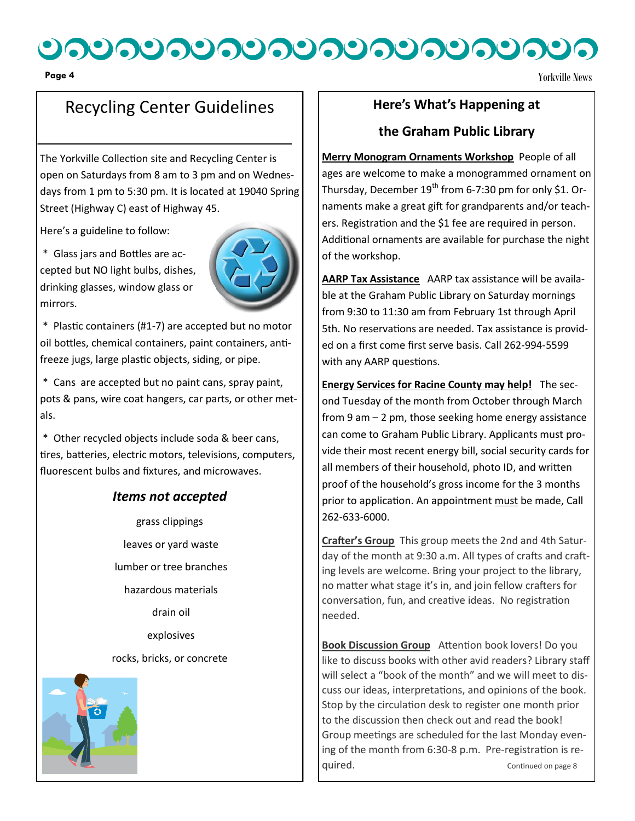<u>ಲನಲನಲನಲನಲನಲನಲನಲನಲನ</u>

**Page 4** Yorkville News

### Recycling Center Guidelines

The Yorkville Collection site and Recycling Center is open on Saturdays from 8 am to 3 pm and on Wednesdays from 1 pm to 5:30 pm. It is located at 19040 Spring Street (Highway C) east of Highway 45.

Here's a guideline to follow:

 \* Glass jars and Bottles are accepted but NO light bulbs, dishes, drinking glasses, window glass or mirrors.



 \* Plastic containers (#1-7) are accepted but no motor oil bottles, chemical containers, paint containers, antifreeze jugs, large plastic objects, siding, or pipe.

 \* Cans are accepted but no paint cans, spray paint, pots & pans, wire coat hangers, car parts, or other metals.

 \* Other recycled objects include soda & beer cans, tires, batteries, electric motors, televisions, computers, fluorescent bulbs and fixtures, and microwaves.

#### *Items not accepted*

grass clippings leaves or yard waste lumber or tree branches hazardous materials drain oil explosives

#### rocks, bricks, or concrete



#### **Here's What's Happening at**

#### **the Graham Public Library**

**Merry Monogram Ornaments Workshop** People of all ages are welcome to make a monogrammed ornament on Thursday, December  $19^{th}$  from 6-7:30 pm for only \$1. Ornaments make a great gift for grandparents and/or teachers. Registration and the \$1 fee are required in person. Additional ornaments are available for purchase the night of the workshop.

**AARP Tax Assistance** AARP tax assistance will be available at the Graham Public Library on Saturday mornings from 9:30 to 11:30 am from February 1st through April 5th. No reservations are needed. Tax assistance is provided on a first come first serve basis. Call 262-994-5599 with any AARP questions.

**Energy Services for Racine County may help!** The second Tuesday of the month from October through March from 9 am – 2 pm, those seeking home energy assistance can come to Graham Public Library. Applicants must provide their most recent energy bill, social security cards for all members of their household, photo ID, and written proof of the household's gross income for the 3 months prior to application. An appointment must be made, Call 262-633-6000.

**Crafter's Group** This group meets the 2nd and 4th Saturday of the month at 9:30 a.m. All types of crafts and crafting levels are welcome. Bring your project to the library, no matter what stage it's in, and join fellow crafters for conversation, fun, and creative ideas. No registration needed.

**Book Discussion Group** Attention book lovers! Do you like to discuss books with other avid readers? Library staff will select a "book of the month" and we will meet to discuss our ideas, interpretations, and opinions of the book. Stop by the circulation desk to register one month prior to the discussion then check out and read the book! Group meetings are scheduled for the last Monday evening of the month from 6:30-8 p.m. Pre-registration is required. Continued on page 8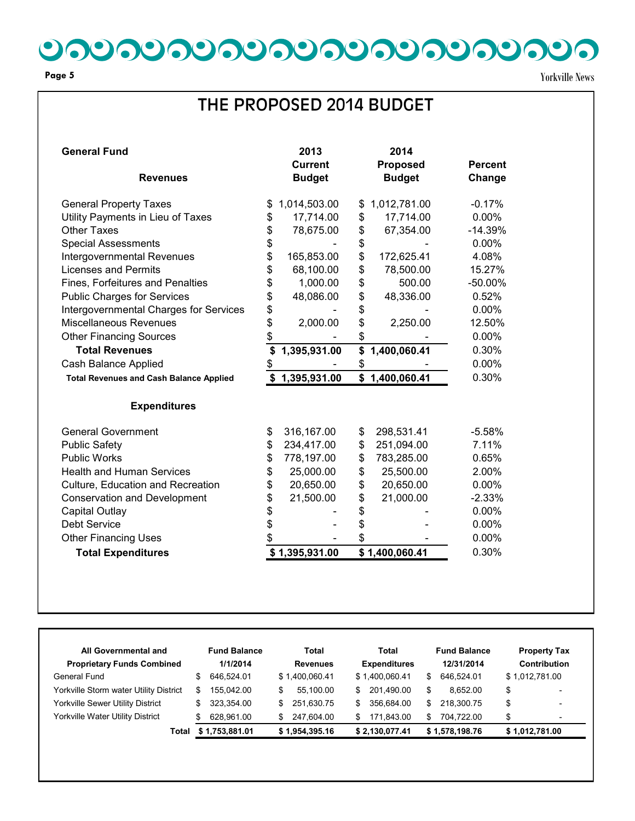**Page 5** Yorkville News

### THE PROPOSED 2014 BUDGET

| <b>General Fund</b>                            |    | 2013           | 2014               |                |  |  |
|------------------------------------------------|----|----------------|--------------------|----------------|--|--|
|                                                |    | <b>Current</b> | <b>Proposed</b>    | <b>Percent</b> |  |  |
| <b>Revenues</b>                                |    | <b>Budget</b>  | <b>Budget</b>      | Change         |  |  |
| <b>General Property Taxes</b>                  | \$ | 1,014,503.00   | \$<br>1,012,781.00 | $-0.17%$       |  |  |
| Utility Payments in Lieu of Taxes              | \$ | 17,714.00      | \$<br>17,714.00    | $0.00\%$       |  |  |
| <b>Other Taxes</b>                             | \$ | 78,675.00      | \$<br>67,354.00    | $-14.39%$      |  |  |
| <b>Special Assessments</b>                     | \$ |                | \$                 | 0.00%          |  |  |
| Intergovernmental Revenues                     | \$ | 165,853.00     | \$<br>172,625.41   | 4.08%          |  |  |
| Licenses and Permits                           | \$ | 68,100.00      | \$<br>78,500.00    | 15.27%         |  |  |
| Fines, Forfeitures and Penalties               | \$ | 1,000.00       | \$<br>500.00       | $-50.00\%$     |  |  |
| <b>Public Charges for Services</b>             | \$ | 48,086.00      | \$<br>48,336.00    | 0.52%          |  |  |
| Intergovernmental Charges for Services         | \$ |                | \$                 | 0.00%          |  |  |
| Miscellaneous Revenues                         | \$ | 2,000.00       | \$<br>2,250.00     | 12.50%         |  |  |
| <b>Other Financing Sources</b>                 | \$ |                | \$                 | 0.00%          |  |  |
| <b>Total Revenues</b>                          | \$ | 1,395,931.00   | \$<br>1,400,060.41 | 0.30%          |  |  |
| Cash Balance Applied                           | \$ |                | \$                 | 0.00%          |  |  |
| <b>Total Revenues and Cash Balance Applied</b> |    | \$1,395,931.00 | \$1,400,060.41     | 0.30%          |  |  |
| <b>Expenditures</b>                            |    |                |                    |                |  |  |
| <b>General Government</b>                      | \$ | 316,167.00     | \$<br>298,531.41   | $-5.58%$       |  |  |
| <b>Public Safety</b>                           | \$ | 234,417.00     | \$<br>251,094.00   | 7.11%          |  |  |
| <b>Public Works</b>                            | \$ | 778,197.00     | \$<br>783,285.00   | 0.65%          |  |  |
| <b>Health and Human Services</b>               | \$ | 25,000.00      | \$<br>25,500.00    | 2.00%          |  |  |
| Culture, Education and Recreation              | \$ | 20,650.00      | \$<br>20,650.00    | 0.00%          |  |  |
| <b>Conservation and Development</b>            | \$ | 21,500.00      | \$<br>21,000.00    | $-2.33%$       |  |  |
| Capital Outlay                                 | \$ |                | \$                 | 0.00%          |  |  |
| <b>Debt Service</b>                            | \$ |                | \$                 | 0.00%          |  |  |
| <b>Other Financing Uses</b>                    | \$ |                | \$                 | 0.00%          |  |  |
| <b>Total Expenditures</b>                      |    | \$1,395,931.00 | \$1,400,060.41     | 0.30%          |  |  |

| All Governmental and<br><b>Fund Balance</b><br><b>Proprietary Funds Combined</b><br>1/1/2014<br>General Fund<br>646.524.01<br>\$ |    |                | <b>Total</b><br><b>Revenues</b><br>\$1.400.060.41 |                | Total<br><b>Expenditures</b><br>\$1.400.060.41 |                | <b>Fund Balance</b><br>12/31/2014 | <b>Property Tax</b><br>Contribution<br>\$1,012,781.00 |    |                          |
|----------------------------------------------------------------------------------------------------------------------------------|----|----------------|---------------------------------------------------|----------------|------------------------------------------------|----------------|-----------------------------------|-------------------------------------------------------|----|--------------------------|
|                                                                                                                                  |    |                |                                                   |                |                                                |                | 646.524.01                        |                                                       |    |                          |
| Yorkville Storm water Utility District                                                                                           | \$ | 155.042.00     | \$                                                | 55.100.00      | \$                                             | 201.490.00     | \$                                | 8.652.00                                              | \$ | $\overline{\phantom{0}}$ |
| Yorkville Sewer Utility District                                                                                                 | \$ | 323.354.00     |                                                   | 251.630.75     | SS.                                            | 356.684.00     | \$                                | 218.300.75                                            | \$ | $\overline{\phantom{0}}$ |
| Yorkville Water Utility District                                                                                                 |    | 628.961.00     | \$                                                | 247.604.00     | \$                                             | 171.843.00     | \$                                | 704.722.00                                            | \$ | $\overline{\phantom{a}}$ |
| Total                                                                                                                            |    | \$1,753,881.01 |                                                   | \$1,954,395.16 |                                                | \$2,130,077.41 |                                   | \$1,578,198.76                                        |    | \$1,012,781.00           |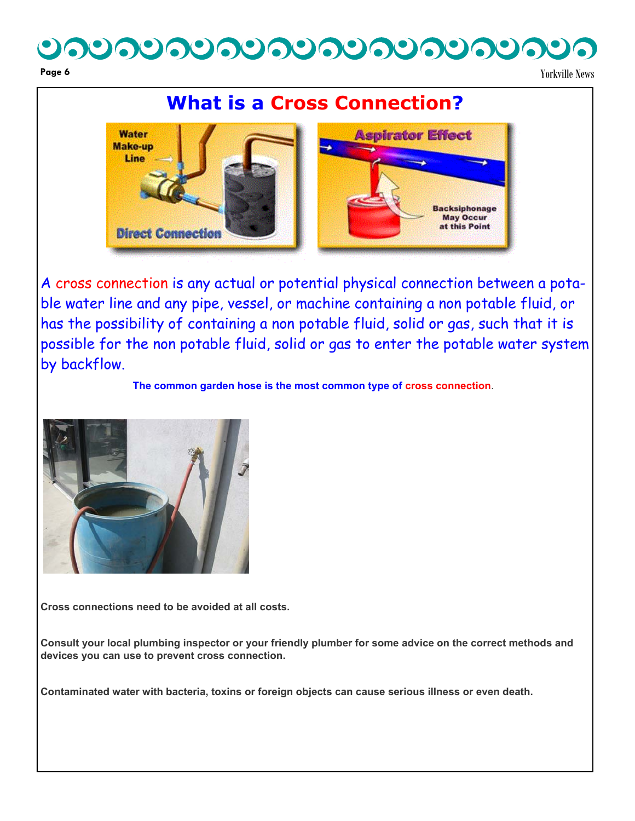## いっしっしっしっしっしっしっしっ

**Page 6** Yorkville News



A cross connection is any actual or potential physical connection between a potable water line and any pipe, vessel, or machine containing a non potable fluid, or has the possibility of containing a non potable fluid, solid or gas, such that it is possible for the non potable fluid, solid or gas to enter the potable water system by backflow.

#### **The common garden hose is the most common type of cross connection**.



**Cross connections need to be avoided at all costs.**

**Consult your local plumbing inspector or your friendly plumber for some advice on the correct methods and devices you can use to prevent cross connection.**

**Contaminated water with bacteria, toxins or foreign objects can cause serious illness or even death.**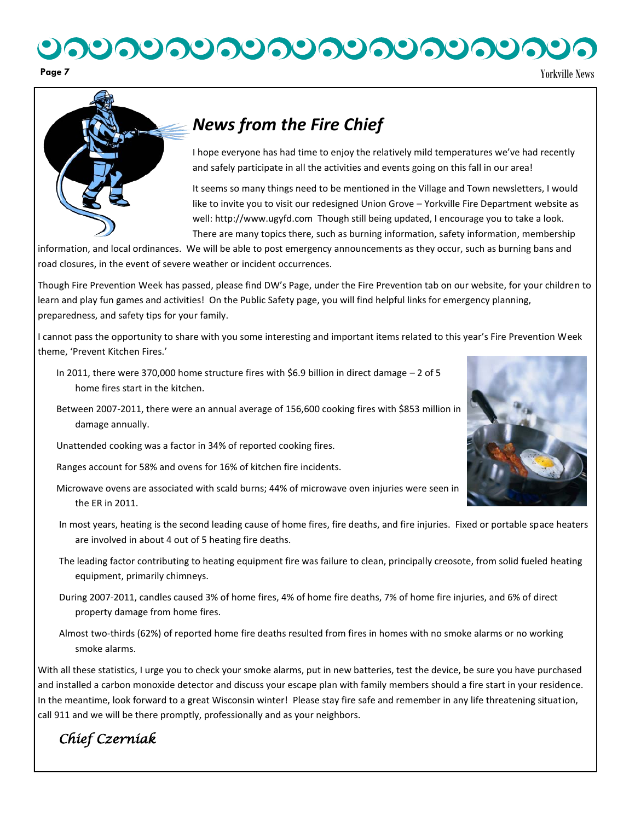## りっしっしっしっしっしっしっしっしっし

### *News from the Fire Chief*

I hope everyone has had time to enjoy the relatively mild temperatures we've had recently and safely participate in all the activities and events going on this fall in our area!

It seems so many things need to be mentioned in the Village and Town newsletters, I would like to invite you to visit our redesigned Union Grove – Yorkville Fire Department website as well: http://www.ugyfd.com Though still being updated, I encourage you to take a look. There are many topics there, such as burning information, safety information, membership

information, and local ordinances. We will be able to post emergency announcements as they occur, such as burning bans and road closures, in the event of severe weather or incident occurrences.

Though Fire Prevention Week has passed, please find DW's Page, under the Fire Prevention tab on our website, for your children to learn and play fun games and activities! On the Public Safety page, you will find helpful links for emergency planning, preparedness, and safety tips for your family.

I cannot pass the opportunity to share with you some interesting and important items related to this year's Fire Prevention Week theme, 'Prevent Kitchen Fires.'

- In 2011, there were 370,000 home structure fires with \$6.9 billion in direct damage 2 of 5 home fires start in the kitchen.
- Between 2007-2011, there were an annual average of 156,600 cooking fires with \$853 million in damage annually.

Unattended cooking was a factor in 34% of reported cooking fires.

Ranges account for 58% and ovens for 16% of kitchen fire incidents.

Microwave ovens are associated with scald burns; 44% of microwave oven injuries were seen in the ER in 2011.

- In most years, heating is the second leading cause of home fires, fire deaths, and fire injuries. Fixed or portable space heaters are involved in about 4 out of 5 heating fire deaths.
- The leading factor contributing to heating equipment fire was failure to clean, principally creosote, from solid fueled heating equipment, primarily chimneys.
- During 2007-2011, candles caused 3% of home fires, 4% of home fire deaths, 7% of home fire injuries, and 6% of direct property damage from home fires.
- Almost two-thirds (62%) of reported home fire deaths resulted from fires in homes with no smoke alarms or no working smoke alarms.

With all these statistics, I urge you to check your smoke alarms, put in new batteries, test the device, be sure you have purchased and installed a carbon monoxide detector and discuss your escape plan with family members should a fire start in your residence. In the meantime, look forward to a great Wisconsin winter! Please stay fire safe and remember in any life threatening situation, call 911 and we will be there promptly, professionally and as your neighbors.

 *Chief Czerniak* 



**Page 7** Yorkville News